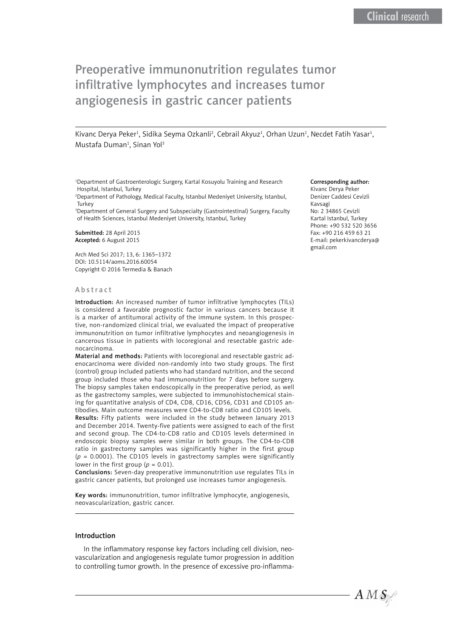# Preoperative immunonutrition regulates tumor infiltrative lymphocytes and increases tumor angiogenesis in gastric cancer patients

Kivanc Derya Peker<sup>1</sup>, Sidika Seyma Ozkanli<sup>2</sup>, Cebrail Akyuz<sup>1</sup>, Orhan Uzun<sup>1</sup>, Necdet Fatih Yasar<sup>1</sup>, Mustafa Duman<sup>1</sup>, Sinan Yol<sup>3</sup>

1 Department of Gastroenterologic Surgery, Kartal Kosuyolu Training and Research Hospital, Istanbul, Turkey

2 Department of Pathology, Medical Faculty, Istanbul Medeniyet University, Istanbul, **Turkey** 

<sup>3</sup>Department of General Surgery and Subspecialty (Gastrointestinal) Surgery, Faculty of Health Sciences, Istanbul Medeniyet University, Istanbul, Turkey

Submitted: 28 April 2015 Accepted: 6 August 2015

Arch Med Sci 2017; 13, 6: 1365–1372 DOI: 10.5114/aoms.2016.60054 Copyright © 2016 Termedia & Banach

#### Abstract

Introduction: An increased number of tumor infiltrative lymphocytes (TILs) is considered a favorable prognostic factor in various cancers because it is a marker of antitumoral activity of the immune system. In this prospective, non-randomized clinical trial, we evaluated the impact of preoperative immunonutrition on tumor infiltrative lymphocytes and neoangiogenesis in cancerous tissue in patients with locoregional and resectable gastric adenocarcinoma.

Material and methods: Patients with locoregional and resectable gastric adenocarcinoma were divided non-randomly into two study groups. The first (control) group included patients who had standard nutrition, and the second group included those who had immunonutrition for 7 days before surgery. The biopsy samples taken endoscopically in the preoperative period, as well as the gastrectomy samples, were subjected to immunohistochemical staining for quantitative analysis of CD4, CD8, CD16, CD56, CD31 and CD105 antibodies. Main outcome measures were CD4-to-CD8 ratio and CD105 levels. Results: Fifty patients were included in the study between January 2013 and December 2014. Twenty-five patients were assigned to each of the first and second group. The CD4-to-CD8 ratio and CD105 levels determined in endoscopic biopsy samples were similar in both groups. The CD4-to-CD8 ratio in gastrectomy samples was significantly higher in the first group (*p* = 0.0001). The CD105 levels in gastrectomy samples were significantly lower in the first group ( $p = 0.01$ ).

Conclusions: Seven-day preoperative immunonutrition use regulates TILs in gastric cancer patients, but prolonged use increases tumor angiogenesis.

Key words: immunonutrition, tumor infiltrative lymphocyte, angiogenesis, neovascularization, gastric cancer.

# Introduction

In the inflammatory response key factors including cell division, neovascularization and angiogenesis regulate tumor progression in addition to controlling tumor growth. In the presence of excessive pro-inflamma-

#### Corresponding author:

Kivanc Derya Peker Denizer Caddesi Cevizli Kavsagi No: 2 34865 Cevizli Kartal Istanbul, Turkey Phone: +90 532 520 3656 Fax: +90 216 459 63 21 E-mail: pekerkivancderya@ gmail.com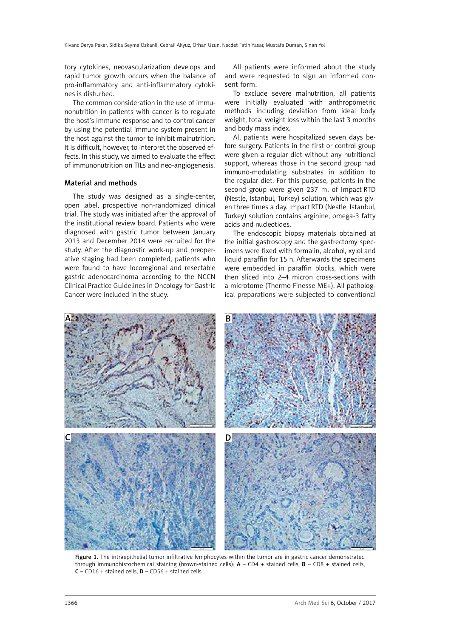tory cytokines, neovascularization develops and rapid tumor growth occurs when the balance of pro-inflammatory and anti-inflammatory cytokines is disturbed.

The common consideration in the use of immunonutrition in patients with cancer is to regulate the host's immune response and to control cancer by using the potential immune system present in the host against the tumor to inhibit malnutrition. It is difficult, however, to interpret the observed effects. In this study, we aimed to evaluate the effect of immunonutrition on TILs and neo-angiogenesis.

# Material and methods

The study was designed as a single-center, open label, prospective non-randomized clinical trial. The study was initiated after the approval of the institutional review board. Patients who were diagnosed with gastric tumor between January 2013 and December 2014 were recruited for the study. After the diagnostic work-up and preoperative staging had been completed, patients who were found to have locoregional and resectable gastric adenocarcinoma according to the NCCN Clinical Practice Guidelines in Oncology for Gastric Cancer were included in the study.

All patients were informed about the study and were requested to sign an informed consent form.

To exclude severe malnutrition, all patients were initially evaluated with anthropometric methods including deviation from ideal body weight, total weight loss within the last 3 months and body mass index.

All patients were hospitalized seven days before surgery. Patients in the first or control group were given a regular diet without any nutritional support, whereas those in the second group had immuno-modulating substrates in addition to the regular diet. For this purpose, patients in the second group were given 237 ml of Impact RTD (Nestle, Istanbul, Turkey) solution, which was given three times a day. Impact RTD (Nestle, Istanbul, Turkey) solution contains arginine, omega-3 fatty acids and nucleotides.

The endoscopic biopsy materials obtained at the initial gastroscopy and the gastrectomy specimens were fixed with formalin, alcohol, xylol and liquid paraffin for 15 h. Afterwards the specimens were embedded in paraffin blocks, which were then sliced into 2–4 micron cross-sections with a microtome (Thermo Finesse ME+). All pathological preparations were subjected to conventional



Figure 1. The intraepithelial tumor infiltrative lymphocytes within the tumor are in gastric cancer demonstrated through immunohistochemical staining (brown-stained cells):  $A - CD4 +$  stained cells,  $B - CD8 +$  stained cells,  $C$  – CD16 + stained cells,  $D$  – CD56 + stained cells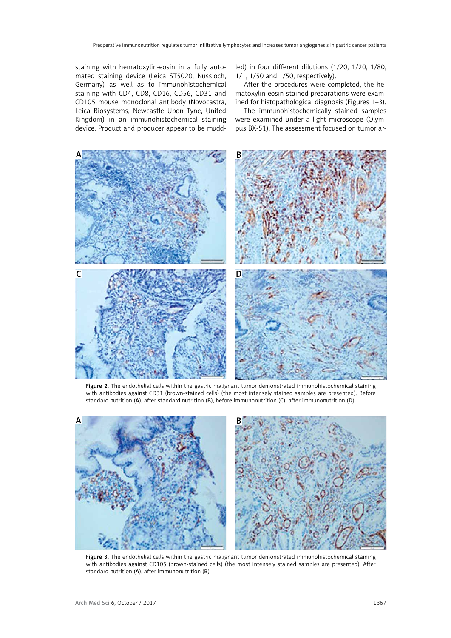staining with hematoxylin-eosin in a fully automated staining device (Leica ST5020, Nussloch, Germany) as well as to immunohistochemical staining with CD4, CD8, CD16, CD56, CD31 and CD105 mouse monoclonal antibody (Novocastra, Leica Biosystems, Newcastle Upon Tyne, United Kingdom) in an immunohistochemical staining device. Product and producer appear to be muddled) in four different dilutions (1/20, 1/20, 1/80, 1/1, 1/50 and 1/50, respectively).

After the procedures were completed, the hematoxylin-eosin-stained preparations were examined for histopathological diagnosis (Figures 1–3).

The immunohistochemically stained samples were examined under a light microscope (Olympus BX-51). The assessment focused on tumor ar-



Figure 2. The endothelial cells within the gastric malignant tumor demonstrated immunohistochemical staining with antibodies against CD31 (brown-stained cells) (the most intensely stained samples are presented). Before standard nutrition (A), after standard nutrition (B), before immunonutrition (C), after immunonutrition (D)



Figure 3. The endothelial cells within the gastric malignant tumor demonstrated immunohistochemical staining with antibodies against CD105 (brown-stained cells) (the most intensely stained samples are presented). After standard nutrition (A), after immunonutrition (B)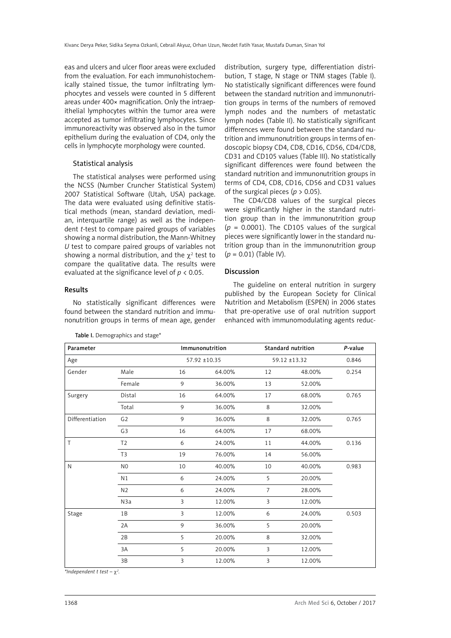eas and ulcers and ulcer floor areas were excluded from the evaluation. For each immunohistochemically stained tissue, the tumor infiltrating lymphocytes and vessels were counted in 5 different areas under 400× magnification. Only the intraepithelial lymphocytes within the tumor area were accepted as tumor infiltrating lymphocytes. Since immunoreactivity was observed also in the tumor epithelium during the evaluation of CD4, only the cells in lymphocyte morphology were counted.

# Statistical analysis

The statistical analyses were performed using the NCSS (Number Cruncher Statistical System) 2007 Statistical Software (Utah, USA) package. The data were evaluated using definitive statistical methods (mean, standard deviation, median, interquartile range) as well as the independent *t*-test to compare paired groups of variables showing a normal distribution, the Mann-Whitney *U* test to compare paired groups of variables not showing a normal distribution, and the  $\chi^2$  test to compare the qualitative data. The results were evaluated at the significance level of *p* < 0.05.

Results

No statistically significant differences were found between the standard nutrition and immunonutrition groups in terms of mean age, gender

Table I. Demographics and stage\*

distribution, surgery type, differentiation distribution, T stage, N stage or TNM stages (Table I). No statistically significant differences were found between the standard nutrition and immunonutrition groups in terms of the numbers of removed lymph nodes and the numbers of metastatic lymph nodes (Table II). No statistically significant differences were found between the standard nutrition and immunonutrition groups in terms of endoscopic biopsy CD4, CD8, CD16, CD56, CD4/CD8, CD31 and CD105 values (Table III). No statistically significant differences were found between the standard nutrition and immunonutrition groups in terms of CD4, CD8, CD16, CD56 and CD31 values of the surgical pieces ( $p > 0.05$ ).

The CD4/CD8 values of the surgical pieces were significantly higher in the standard nutrition group than in the immunonutrition group  $(p = 0.0001)$ . The CD105 values of the surgical pieces were significantly lower in the standard nutrition group than in the immunonutrition group (*p* = 0.01) (Table IV).

# Discussion

The guideline on enteral nutrition in surgery published by the European Society for Clinical Nutrition and Metabolism (ESPEN) in 2006 states that pre-operative use of oral nutrition support enhanced with immunomodulating agents reduc-

| Parameter       |                | Immunonutrition |              | <b>Standard nutrition</b> |              | P-value |
|-----------------|----------------|-----------------|--------------|---------------------------|--------------|---------|
| Age             |                |                 | 57.92 ±10.35 |                           | 59.12 ±13.32 |         |
| Gender          | Male           | 16              | 64.00%       | 12                        | 48.00%       | 0.254   |
|                 | Female         | 9               | 36.00%       | 13                        | 52.00%       |         |
| Surgery         | Distal         | 16              | 64.00%       | 17                        | 68.00%       | 0.765   |
|                 | Total          | 9               | 36.00%       | 8                         | 32.00%       |         |
| Differentiation | G <sub>2</sub> | 9               | 36.00%       | 8                         | 32.00%       | 0.765   |
|                 | G <sub>3</sub> | 16              | 64.00%       | 17                        | 68.00%       |         |
| T               | T <sub>2</sub> | 6               | 24.00%       | 11                        | 44.00%       | 0.136   |
|                 | T <sub>3</sub> | 19              | 76.00%       | 14                        | 56.00%       |         |
| N               | N <sub>0</sub> | 10              | 40.00%       | 10                        | 40.00%       | 0.983   |
|                 | N <sub>1</sub> | 6               | 24.00%       | 5                         | 20.00%       |         |
|                 | N <sub>2</sub> | 6               | 24.00%       | $\overline{7}$            | 28.00%       |         |
|                 | N3a            | 3               | 12.00%       | 3                         | 12.00%       |         |
| Stage           | 1B             | 3               | 12.00%       | 6                         | 24.00%       | 0.503   |
|                 | 2A             | 9               | 36.00%       | 5                         | 20.00%       |         |
|                 | 2B             | 5               | 20.00%       | 8                         | 32.00%       |         |
|                 | 3A             | 5               | 20.00%       | 3                         | 12.00%       |         |
|                 | 3B             | 3               | 12.00%       | 3                         | 12.00%       |         |

*\*Independent t test –* χ*<sup>2</sup> .*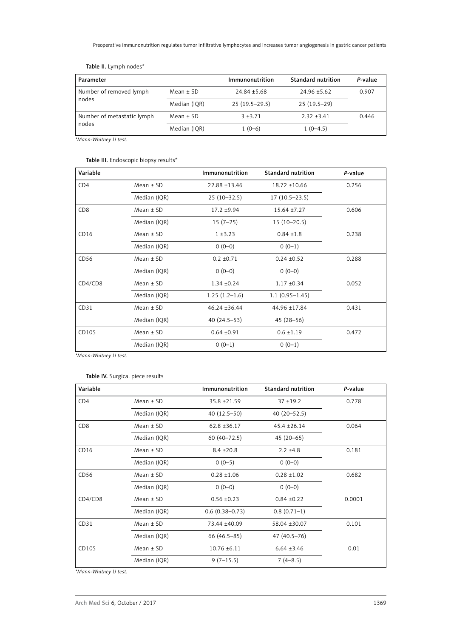| Parameter                  |               | Immunonutrition | Standard nutrition | P-value |  |
|----------------------------|---------------|-----------------|--------------------|---------|--|
| Number of removed lymph    | $Mean \pm SD$ | $24.84 + 5.68$  | $24.96 + 5.62$     | 0.907   |  |
| nodes                      | Median (IOR)  | $25(19.5-29.5)$ | $25(19.5-29)$      |         |  |
| Number of metastatic lymph | $Mean \pm SD$ | $3 + 3.71$      | $2.32 + 3.41$      | 0.446   |  |
| nodes                      | Median (IOR)  | $1(0-6)$        | $1(0-4.5)$         |         |  |

Table II. Lymph nodes\*

*\*Mann-Whitney U test.*

# Table III. Endoscopic biopsy results\*

| Variable        |               | Immunonutrition   | <b>Standard nutrition</b> | P-value |
|-----------------|---------------|-------------------|---------------------------|---------|
| CD4             | $Mean \pm SD$ | 22.88 ±13.46      | 18.72 ±10.66              | 0.256   |
|                 | Median (IQR)  | $25(10-32.5)$     | $17(10.5-23.5)$           |         |
| CD <sub>8</sub> | $Mean \pm SD$ | $17.2 + 9.94$     | $15.64 \pm 7.27$          | 0.606   |
|                 | Median (IQR)  | $15(7-25)$        | $15(10-20.5)$             |         |
| CD16            | $Mean \pm SD$ | $1 + 3.23$        | $0.84 \pm 1.8$            | 0.238   |
|                 | Median (IQR)  | $0(0-0)$          | $0(0-1)$                  |         |
| CD56            | $Mean \pm SD$ | $0.2 \pm 0.71$    | $0.24 \pm 0.52$           | 0.288   |
|                 | Median (IQR)  | $0(0-0)$          | $0(0-0)$                  |         |
| CD4/CD8         | $Mean \pm SD$ | $1.34 \pm 0.24$   | $1.17 \pm 0.34$           | 0.052   |
|                 | Median (IQR)  | $1.25(1.2-1.6)$   | $1.1(0.95 - 1.45)$        |         |
| CD31            | $Mean \pm SD$ | $46.24 \pm 36.44$ | 44.96 ±17.84              | 0.431   |
|                 | Median (IQR)  | $40(24.5-53)$     | $45(28-56)$               |         |
| CD105           | $Mean \pm SD$ | $0.64 \pm 0.91$   | $0.6 \pm 1.19$            | 0.472   |
|                 | Median (IQR)  | $0(0-1)$          | $0(0-1)$                  |         |

*\*Mann-Whitney U test.*

### Table IV. Surgical piece results

| Variable        |               | Immunonutrition    | <b>Standard nutrition</b> | P-value |
|-----------------|---------------|--------------------|---------------------------|---------|
| CD <sub>4</sub> | $Mean \pm SD$ | $35.8 + 21.59$     | $37 + 19.2$               | 0.778   |
|                 | Median (IQR)  | $40(12.5-50)$      | $40(20 - 52.5)$           |         |
| CD <sub>8</sub> | $Mean \pm SD$ | $62.8 \pm 36.17$   | $45.4 \pm 26.14$          | 0.064   |
|                 | Median (IQR)  | $60(40 - 72.5)$    | $45(20-65)$               |         |
| CD16            | $Mean \pm SD$ | $8.4 \pm 20.8$     | $2.2 \pm 4.8$             | 0.181   |
|                 | Median (IQR)  | $0(0-5)$           | $0(0-0)$                  |         |
| CD56            | $Mean \pm SD$ | $0.28 \pm 1.06$    | $0.28 \pm 1.02$           | 0.682   |
|                 | Median (IQR)  | $0(0-0)$           | $0(0-0)$                  |         |
| CD4/CD8         | $Mean \pm SD$ | $0.56 \pm 0.23$    | $0.84 \pm 0.22$           | 0.0001  |
|                 | Median (IQR)  | $0.6(0.38 - 0.73)$ | $0.8(0.71-1)$             |         |
| CD31            | $Mean \pm SD$ | 73.44 ±40.09       | 58.04 ±30.07              | 0.101   |
|                 | Median (IQR)  | 66 (46.5–85)       | 47 (40.5-76)              |         |
| CD105           | $Mean \pm SD$ | $10.76 \pm 6.11$   | $6.64 \pm 3.46$           | 0.01    |
|                 | Median (IQR)  | $9(7-15.5)$        | $7(4-8.5)$                |         |

*\*Mann-Whitney U test.*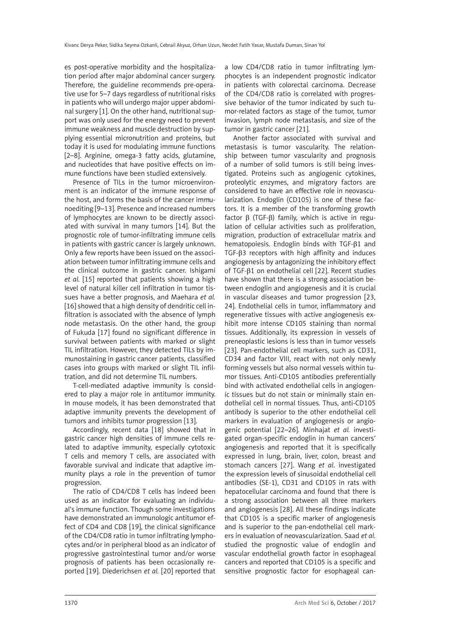es post-operative morbidity and the hospitalization period after major abdominal cancer surgery. Therefore, the guideline recommends pre-operative use for 5–7 days regardless of nutritional risks in patients who will undergo major upper abdominal surgery [1]. On the other hand, nutritional support was only used for the energy need to prevent immune weakness and muscle destruction by supplying essential micronutrition and proteins, but today it is used for modulating immune functions [2–8]. Arginine, omega-3 fatty acids, glutamine, and nucleotides that have positive effects on immune functions have been studied extensively.

Presence of TILs in the tumor microenvironment is an indicator of the immune response of the host, and forms the basis of the cancer immunoediting [9–13]. Presence and increased numbers of lymphocytes are known to be directly associated with survival in many tumors [14]. But the prognostic role of tumor-infiltrating immune cells in patients with gastric cancer is largely unknown. Only a few reports have been issued on the association between tumor infiltrating immune cells and the clinical outcome in gastric cancer. Ishigami *et al.* [15] reported that patients showing a high level of natural killer cell infiltration in tumor tissues have a better prognosis, and Maehara *et al.* [16] showed that a high density of dendritic cell infiltration is associated with the absence of lymph node metastasis. On the other hand, the group of Fukuda [17] found no significant difference in survival between patients with marked or slight TIL infiltration. However, they detected TILs by immunostaining in gastric cancer patients, classified cases into groups with marked or slight TIL infiltration, and did not determine TIL numbers.

T-cell-mediated adaptive immunity is considered to play a major role in antitumor immunity. In mouse models, it has been demonstrated that adaptive immunity prevents the development of tumors and inhibits tumor progression [13].

Accordingly, recent data [18] showed that in gastric cancer high densities of immune cells related to adaptive immunity, especially cytotoxic T cells and memory T cells, are associated with favorable survival and indicate that adaptive immunity plays a role in the prevention of tumor progression.

The ratio of CD4/CD8 T cells has indeed been used as an indicator for evaluating an individual's immune function. Though some investigations have demonstrated an immunologic antitumor effect of CD4 and CD8 [19], the clinical significance of the CD4/CD8 ratio in tumor infiltrating lymphocytes and/or in peripheral blood as an indicator of progressive gastrointestinal tumor and/or worse prognosis of patients has been occasionally reported [19]. Diederichsen *et al.* [20] reported that a low CD4/CD8 ratio in tumor infiltrating lymphocytes is an independent prognostic indicator in patients with colorectal carcinoma. Decrease of the CD4/CD8 ratio is correlated with progressive behavior of the tumor indicated by such tumor-related factors as stage of the tumor, tumor invasion, lymph node metastasis, and size of the tumor in gastric cancer [21].

Another factor associated with survival and metastasis is tumor vascularity. The relationship between tumor vascularity and prognosis of a number of solid tumors is still being investigated. Proteins such as angiogenic cytokines, proteolytic enzymes, and migratory factors are considered to have an effective role in neovascularization. Endoglin (CD105) is one of these factors. It is a member of the transforming growth factor β (TGF-β) family, which is active in regulation of cellular activities such as proliferation, migration, production of extracellular matrix and hematopoiesis. Endoglin binds with TGF-β1 and TGF-β3 receptors with high affinity and induces angiogenesis by antagonizing the inhibitory effect of TGF-β1 on endothelial cell [22]. Recent studies have shown that there is a strong association between endoglin and angiogenesis and it is crucial in vascular diseases and tumor progression [23, 24]. Endothelial cells in tumor, inflammatory and regenerative tissues with active angiogenesis exhibit more intense CD105 staining than normal tissues. Additionally, its expression in vessels of preneoplastic lesions is less than in tumor vessels [23]. Pan-endothelial cell markers, such as CD31, CD34 and factor VIII, react with not only newly forming vessels but also normal vessels within tumor tissues. Anti-CD105 antibodies preferentially bind with activated endothelial cells in angiogenic tissues but do not stain or minimally stain endothelial cell in normal tissues. Thus, anti-CD105 antibody is superior to the other endothelial cell markers in evaluation of angiogenesis or angiogenic potential [22–26]. Minhajat *et al.* investigated organ-specific endoglin in human cancers' angiogenesis and reported that it is specifically expressed in lung, brain, liver, colon, breast and stomach cancers [27]. Wang *et al*. investigated the expression levels of sinusoidal endothelial cell antibodies (SE-1), CD31 and CD105 in rats with hepatocellular carcinoma and found that there is a strong association between all three markers and angiogenesis [28]. All these findings indicate that CD105 is a specific marker of angiogenesis and is superior to the pan-endothelial cell markers in evaluation of neovascularization. Saad *et al.* studied the prognostic value of endoglin and vascular endothelial growth factor in esophageal cancers and reported that CD105 is a specific and sensitive prognostic factor for esophageal can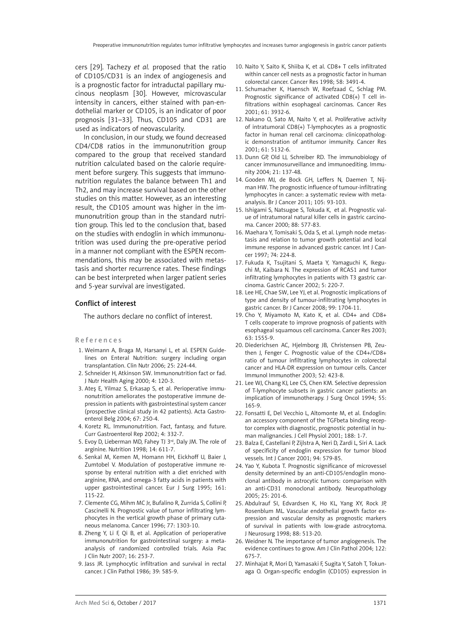cers [29]. Tachezy *et al.* proposed that the ratio of CD105/CD31 is an index of angiogenesis and is a prognostic factor for intraductal papillary mucinous neoplasm [30]. However, microvascular intensity in cancers, either stained with pan-endothelial marker or CD105, is an indicator of poor prognosis [31–33]. Thus, CD105 and CD31 are used as indicators of neovascularity.

In conclusion, in our study, we found decreased CD4/CD8 ratios in the immunonutrition group compared to the group that received standard nutrition calculated based on the calorie requirement before surgery. This suggests that immunonutrition regulates the balance between Th1 and Th2, and may increase survival based on the other studies on this matter. However, as an interesting result, the CD105 amount was higher in the immunonutrition group than in the standard nutrition group. This led to the conclusion that, based on the studies with endoglin in which immunonutrition was used during the pre-operative period in a manner not compliant with the ESPEN recommendations, this may be associated with metastasis and shorter recurrence rates. These findings can be best interpreted when larger patient series and 5-year survival are investigated.

# Conflict of interest

The authors declare no conflict of interest.

#### References

- 1. Weimann A, Braga M, Harsanyi L, et al. ESPEN Guidelines on Enteral Nutrition: surgery including organ transplantation. Clin Nutr 2006; 25: 224-44.
- 2. Schneider H, Atkinson SW. Immunonutrition fact or fad. J Nutr Health Aging 2000; 4: 120-3.
- 3. Ateş E, Yilmaz S, Erkasap S, et al. Perioperative immunonutrition ameliorates the postoperative immune depression in patients with gastrointestinal system cancer (prospective clinical study in 42 patients). Acta Gastroenterol Belg 2004; 67: 250-4.
- 4. Koretz RL. Immunonutrition. Fact, fantasy, and future. Curr Gastroenterol Rep 2002; 4: 332-7.
- 5. Evoy D, Lieberman MD, Fahey TJ 3rd, Daly JM. The role of arginine. Nutrition 1998; 14: 611-7.
- 6. Senkal M, Kemen M, Homann HH, Eickhoff U, Baier J, Zumtobel V. Modulation of postoperative immune response by enteral nutrition with a diet enriched with arginine, RNA, and omega-3 fatty acids in patients with upper gastrointestinal cancer. Eur J Surg 1995; 161: 115-22.
- 7. Clemente CG, Mihm MC Jr, Bufalino R, Zurrida S, Collini P, Cascinelli N. Prognostic value of tumor infiltrating lymphocytes in the vertical growth phase of primary cutaneous melanoma. Cancer 1996; 77: 1303-10.
- 8. Zheng Y, Li F, Qi B, et al. Application of perioperative immunonutrition for gastrointestinal surgery: a metaanalysis of randomized controlled trials. Asia Pac J Clin Nutr 2007; 16: 253-7.
- 9. Jass JR. Lymphocytic infiltration and survival in rectal cancer. J Clin Pathol 1986; 39: 585-9.
- 10. Naito Y, Saito K, Shiiba K, et al. CD8+ T cells infiltrated within cancer cell nests as a prognostic factor in human colorectal cancer. Cancer Res 1998; 58: 3491-4.
- 11. Schumacher K, Haensch W, Roefzaad C, Schlag PM. Prognostic significance of activated CD8(+) T cell infiltrations within esophageal carcinomas. Cancer Res 2001; 61: 3932-6.
- 12. Nakano O, Sato M, Naito Y, et al. Proliferative activity of intratumoral CD8(+) T-lymphocytes as a prognostic factor in human renal cell carcinoma: clinicopathologic demonstration of antitumor immunity. Cancer Res 2001; 61: 5132-6.
- 13. Dunn GP, Old LJ, Schreiber RD. The immunobiology of cancer immunosurveillance and immunoediting. Immunity 2004; 21: 137-48.
- 14. Gooden MJ, de Bock GH, Leffers N, Daemen T, Nijman HW. The prognostic influence of tumour-infiltrating lymphocytes in cancer: a systematic review with metaanalysis. Br J Cancer 2011; 105: 93-103.
- 15. Ishigami S, Natsugoe S, Tokuda K, et al. Prognostic value of intratumoral natural killer cells in gastric carcinoma. Cancer 2000; 88: 577-83.
- 16. Maehara Y, Tomisaki S, Oda S, et al. Lymph node metastasis and relation to tumor growth potential and local immune response in advanced gastric cancer. Int J Cancer 1997; 74: 224-8.
- 17. Fukuda K, Tsujitani S, Maeta Y, Yamaguchi K, Ikeguchi M, Kaibara N. The expression of RCAS1 and tumor infiltrating lymphocytes in patients with T3 gastric carcinoma. Gastric Cancer 2002; 5: 220-7.
- 18. Lee HE, Chae SW, Lee YJ, et al. Prognostic implications of type and density of tumour-infiltrating lymphocytes in gastric cancer. Br J Cancer 2008; 99: 1704-11.
- 19. Cho Y, Miyamoto M, Kato K, et al. CD4+ and CD8+ T cells cooperate to improve prognosis of patients with esophageal squamous cell carcinoma. Cancer Res 2003; 63: 1555-9.
- 20. Diederichsen AC, Hjelmborg JB, Christensen PB, Zeuthen J, Fenger C. Prognostic value of the CD4+/CD8+ ratio of tumour infiltrating lymphocytes in colorectal cancer and HLA-DR expression on tumour cells. Cancer Immunol Immunother 2003; 52: 423-8.
- 21. Lee WJ, Chang KJ, Lee CS, Chen KM. Selective depression of T-lymphocyte subsets in gastric cancer patients: an implication of immunotherapy. J Surg Oncol 1994; 55: 165-9.
- 22. Fonsatti E, Del Vecchio L, Altomonte M, et al. Endoglin: an accessory component of the TGFbeta binding receptor complex with diagnostic, prognostic potential in human malignancies. J Cell Physiol 2001; 188: 1-7.
- 23. Balza E, Castellani P, Zijlstra A, Neri D, Zardi L, Siri A. Lack of specificity of endoglin expression for tumor blood vessels. Int J Cancer 2001; 94: 579-85.
- 24. Yao Y, Kubota T. Prognostic significance of microvessel density determined by an anti-CD105/endoglin monoclonal antibody in astrocytic tumors: comparison with an anti-CD31 monoclonal antibody. Neuropathology 2005; 25: 201-6.
- 25. Abdulrauf SI, Edvardsen K, Ho KL, Yang XY, Rock JP, Rosenblum ML. Vascular endothelial growth factor expression and vascular density as prognostic markers of survival in patients with low-grade astrocytoma. J Neurosurg 1998; 88: 513-20.
- 26. Weidner N. The importance of tumor angiogenesis. The evidence continues to grow. Am J Clin Pathol 2004; 122: 675-7.
- 27. Minhajat R, Mori D, Yamasaki F, Sugita Y, Satoh T, Tokunaga O. Organ-specific endoglin (CD105) expression in